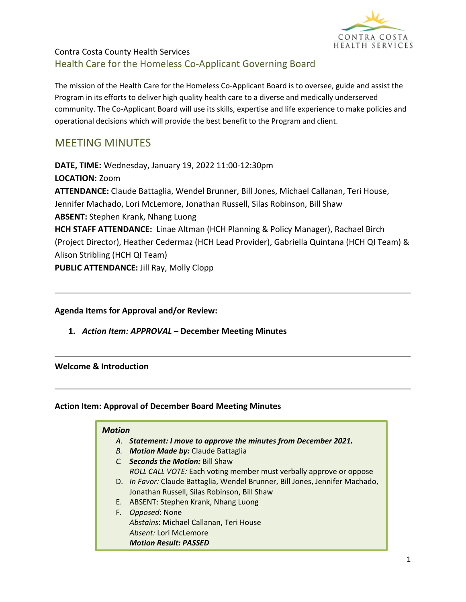

## Contra Costa County Health Services Health Care for the Homeless Co-Applicant Governing Board

The mission of the Health Care for the Homeless Co-Applicant Board is to oversee, guide and assist the Program in its efforts to deliver high quality health care to a diverse and medically underserved community. The Co-Applicant Board will use its skills, expertise and life experience to make policies and operational decisions which will provide the best benefit to the Program and client.

# MEETING MINUTES

**DATE, TIME:** Wednesday, January 19, 2022 11:00-12:30pm **LOCATION:** Zoom **ATTENDANCE:** Claude Battaglia, Wendel Brunner, Bill Jones, Michael Callanan, Teri House, Jennifer Machado, Lori McLemore, Jonathan Russell, Silas Robinson, Bill Shaw **ABSENT:** Stephen Krank, Nhang Luong **HCH STAFF ATTENDANCE:** Linae Altman (HCH Planning & Policy Manager), Rachael Birch (Project Director), Heather Cedermaz (HCH Lead Provider), Gabriella Quintana (HCH QI Team) & Alison Stribling (HCH QI Team) **PUBLIC ATTENDANCE:** Jill Ray, Molly Clopp

### **Agenda Items for Approval and/or Review:**

**1.** *Action Item: APPROVAL* **– December Meeting Minutes**

#### **Welcome & Introduction**

#### **Action Item: Approval of December Board Meeting Minutes**

#### *Motion*

- *A. Statement: I move to approve the minutes from December 2021.*
- *B. Motion Made by:* Claude Battaglia
- *C. Seconds the Motion:* Bill Shaw *ROLL CALL VOTE:* Each voting member must verbally approve or oppose
- D. *In Favor:* Claude Battaglia, Wendel Brunner, Bill Jones, Jennifer Machado, Jonathan Russell, Silas Robinson, Bill Shaw
- E. ABSENT: Stephen Krank, Nhang Luong
- F. *Opposed*: None *Abstains*: Michael Callanan, Teri House *Absent:* Lori McLemore *Motion Result: PASSED*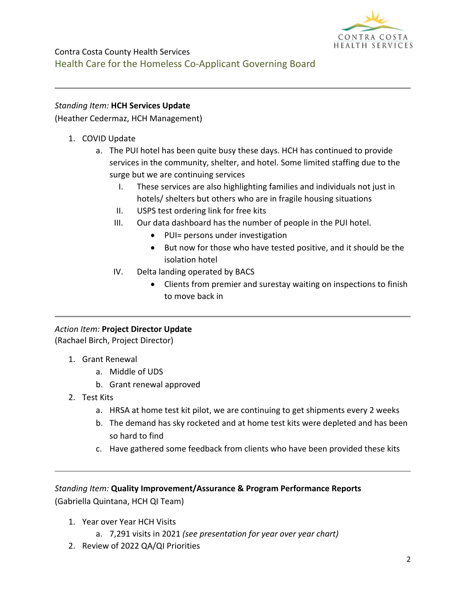

### *Standing Item:* **HCH Services Update**

(Heather Cedermaz, HCH Management)

- 1. COVID Update
	- a. The PUI hotel has been quite busy these days. HCH has continued to provide services in the community, shelter, and hotel. Some limited staffing due to the surge but we are continuing services
		- I. These services are also highlighting families and individuals not just in hotels/ shelters but others who are in fragile housing situations
		- II. USPS test ordering link for free kits
		- III. Our data dashboard has the number of people in the PUI hotel.
			- PUI= persons under investigation
			- But now for those who have tested positive, and it should be the isolation hotel
		- IV. Delta landing operated by BACS
			- Clients from premier and surestay waiting on inspections to finish to move back in

### *Action Item:* **Project Director Update**

(Rachael Birch, Project Director)

- 1. Grant Renewal
	- a. Middle of UDS
	- b. Grant renewal approved
- 2. Test Kits
	- a. HRSA at home test kit pilot, we are continuing to get shipments every 2 weeks
	- b. The demand has sky rocketed and at home test kits were depleted and has been so hard to find
	- c. Have gathered some feedback from clients who have been provided these kits

*Standing Item:* **Quality Improvement/Assurance & Program Performance Reports** (Gabriella Quintana, HCH QI Team)

- 1. Year over Year HCH Visits
	- a. 7,291 visits in 2021 *(see presentation for year over year chart)*
- 2. Review of 2022 QA/QI Priorities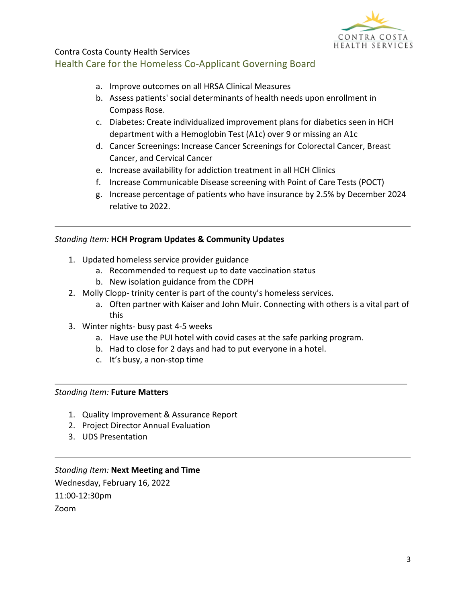

## Contra Costa County Health Services Health Care for the Homeless Co-Applicant Governing Board

- a. Improve outcomes on all HRSA Clinical Measures
- b. Assess patients' social determinants of health needs upon enrollment in Compass Rose.
- c. Diabetes: Create individualized improvement plans for diabetics seen in HCH department with a Hemoglobin Test (A1c) over 9 or missing an A1c
- d. Cancer Screenings: Increase Cancer Screenings for Colorectal Cancer, Breast Cancer, and Cervical Cancer
- e. Increase availability for addiction treatment in all HCH Clinics
- f. Increase Communicable Disease screening with Point of Care Tests (POCT)
- g. Increase percentage of patients who have insurance by 2.5% by December 2024 relative to 2022.

#### *Standing Item:* **HCH Program Updates & Community Updates**

- 1. Updated homeless service provider guidance
	- a. Recommended to request up to date vaccination status
	- b. New isolation guidance from the CDPH
- 2. Molly Clopp- trinity center is part of the county's homeless services.
	- a. Often partner with Kaiser and John Muir. Connecting with others is a vital part of this
- 3. Winter nights- busy past 4-5 weeks
	- a. Have use the PUI hotel with covid cases at the safe parking program.
	- b. Had to close for 2 days and had to put everyone in a hotel.
	- c. It's busy, a non-stop time

#### *Standing Item:* **Future Matters**

- 1. Quality Improvement & Assurance Report
- 2. Project Director Annual Evaluation
- 3. UDS Presentation

*Standing Item:* **Next Meeting and Time** Wednesday, February 16, 2022 11:00-12:30pm Zoom